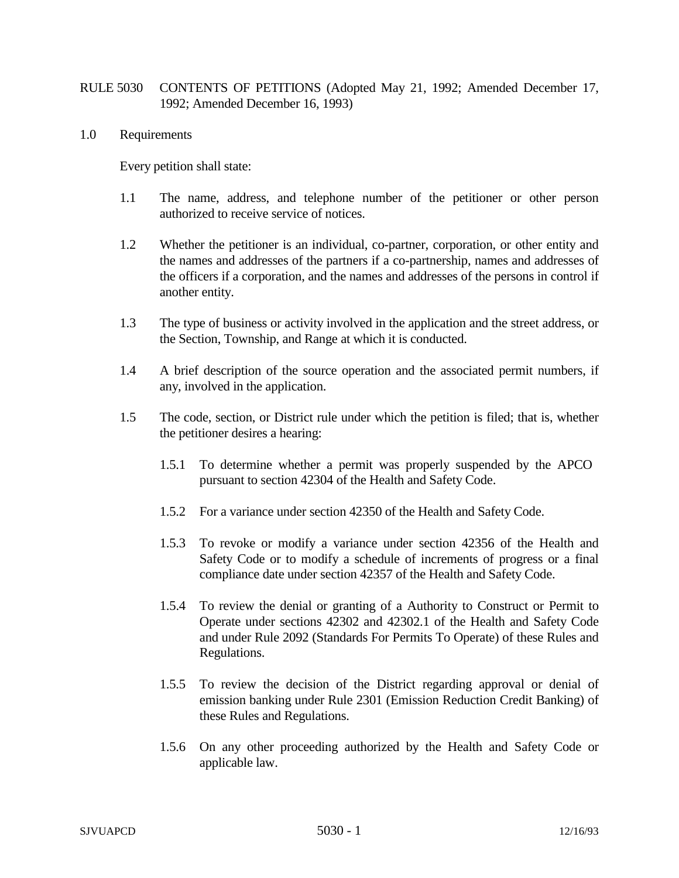## RULE 5030 CONTENTS OF PETITIONS (Adopted May 21, 1992; Amended December 17, 1992; Amended December 16, 1993)

1.0 Requirements

Every petition shall state:

- 1.1 The name, address, and telephone number of the petitioner or other person authorized to receive service of notices.
- 1.2 Whether the petitioner is an individual, co-partner, corporation, or other entity and the names and addresses of the partners if a co-partnership, names and addresses of the officers if a corporation, and the names and addresses of the persons in control if another entity.
- 1.3 The type of business or activity involved in the application and the street address, or the Section, Township, and Range at which it is conducted.
- 1.4 A brief description of the source operation and the associated permit numbers, if any, involved in the application.
- 1.5 The code, section, or District rule under which the petition is filed; that is, whether the petitioner desires a hearing:
	- 1.5.1 To determine whether a permit was properly suspended by the APCO pursuant to section 42304 of the Health and Safety Code.
	- 1.5.2 For a variance under section 42350 of the Health and Safety Code.
	- 1.5.3 To revoke or modify a variance under section 42356 of the Health and Safety Code or to modify a schedule of increments of progress or a final compliance date under section 42357 of the Health and Safety Code.
	- 1.5.4 To review the denial or granting of a Authority to Construct or Permit to Operate under sections 42302 and 42302.1 of the Health and Safety Code and under Rule 2092 (Standards For Permits To Operate) of these Rules and Regulations.
	- 1.5.5 To review the decision of the District regarding approval or denial of emission banking under Rule 2301 (Emission Reduction Credit Banking) of these Rules and Regulations.
	- 1.5.6 On any other proceeding authorized by the Health and Safety Code or applicable law.